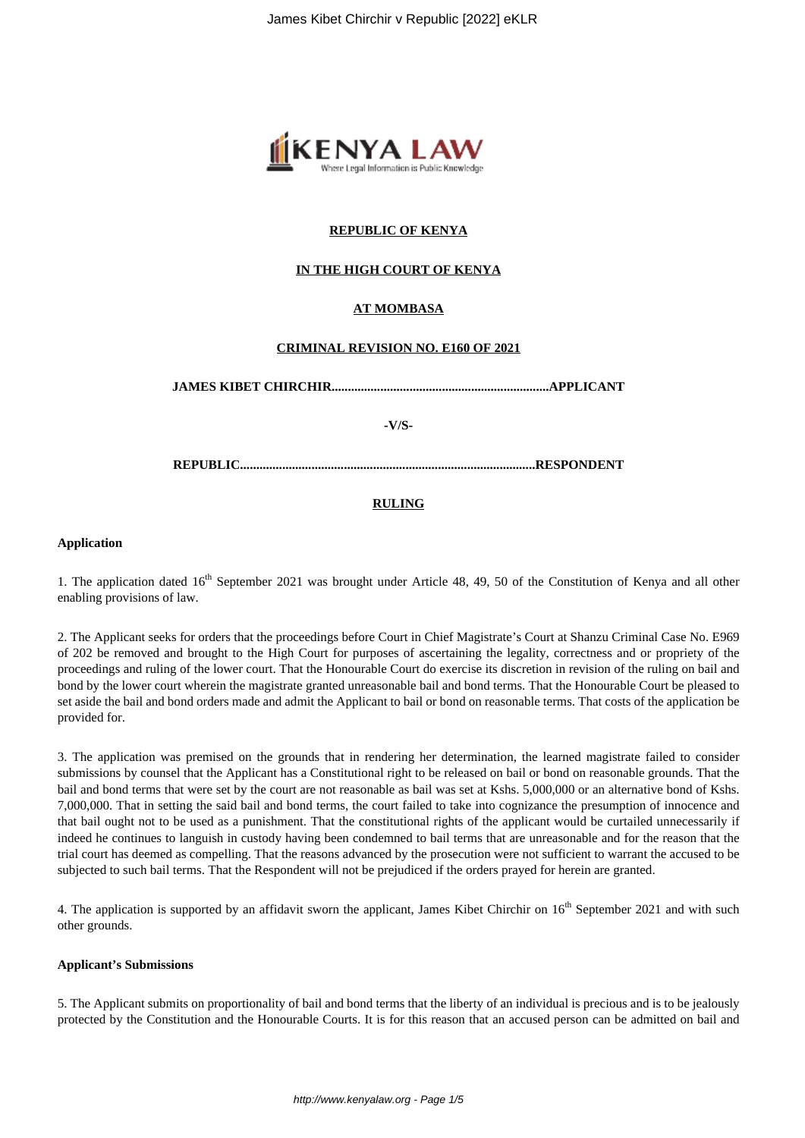

# **REPUBLIC OF KENYA**

## **IN THE HIGH COURT OF KENYA**

# **AT MOMBASA**

## **CRIMINAL REVISION NO. E160 OF 2021**

**JAMES KIBET CHIRCHIR...................................................................APPLICANT**

**-V/S-**

**REPUBLIC...........................................................................................RESPONDENT**

## **RULING**

## **Application**

1. The application dated  $16<sup>th</sup>$  September 2021 was brought under Article 48, 49, 50 of the Constitution of Kenya and all other enabling provisions of law.

2. The Applicant seeks for orders that the proceedings before Court in Chief Magistrate's Court at Shanzu Criminal Case No. E969 of 202 be removed and brought to the High Court for purposes of ascertaining the legality, correctness and or propriety of the proceedings and ruling of the lower court. That the Honourable Court do exercise its discretion in revision of the ruling on bail and bond by the lower court wherein the magistrate granted unreasonable bail and bond terms. That the Honourable Court be pleased to set aside the bail and bond orders made and admit the Applicant to bail or bond on reasonable terms. That costs of the application be provided for.

3. The application was premised on the grounds that in rendering her determination, the learned magistrate failed to consider submissions by counsel that the Applicant has a Constitutional right to be released on bail or bond on reasonable grounds. That the bail and bond terms that were set by the court are not reasonable as bail was set at Kshs. 5,000,000 or an alternative bond of Kshs. 7,000,000. That in setting the said bail and bond terms, the court failed to take into cognizance the presumption of innocence and that bail ought not to be used as a punishment. That the constitutional rights of the applicant would be curtailed unnecessarily if indeed he continues to languish in custody having been condemned to bail terms that are unreasonable and for the reason that the trial court has deemed as compelling. That the reasons advanced by the prosecution were not sufficient to warrant the accused to be subjected to such bail terms. That the Respondent will not be prejudiced if the orders prayed for herein are granted.

4. The application is supported by an affidavit sworn the applicant, James Kibet Chirchir on 16<sup>th</sup> September 2021 and with such other grounds.

## **Applicant's Submissions**

5. The Applicant submits on proportionality of bail and bond terms that the liberty of an individual is precious and is to be jealously protected by the Constitution and the Honourable Courts. It is for this reason that an accused person can be admitted on bail and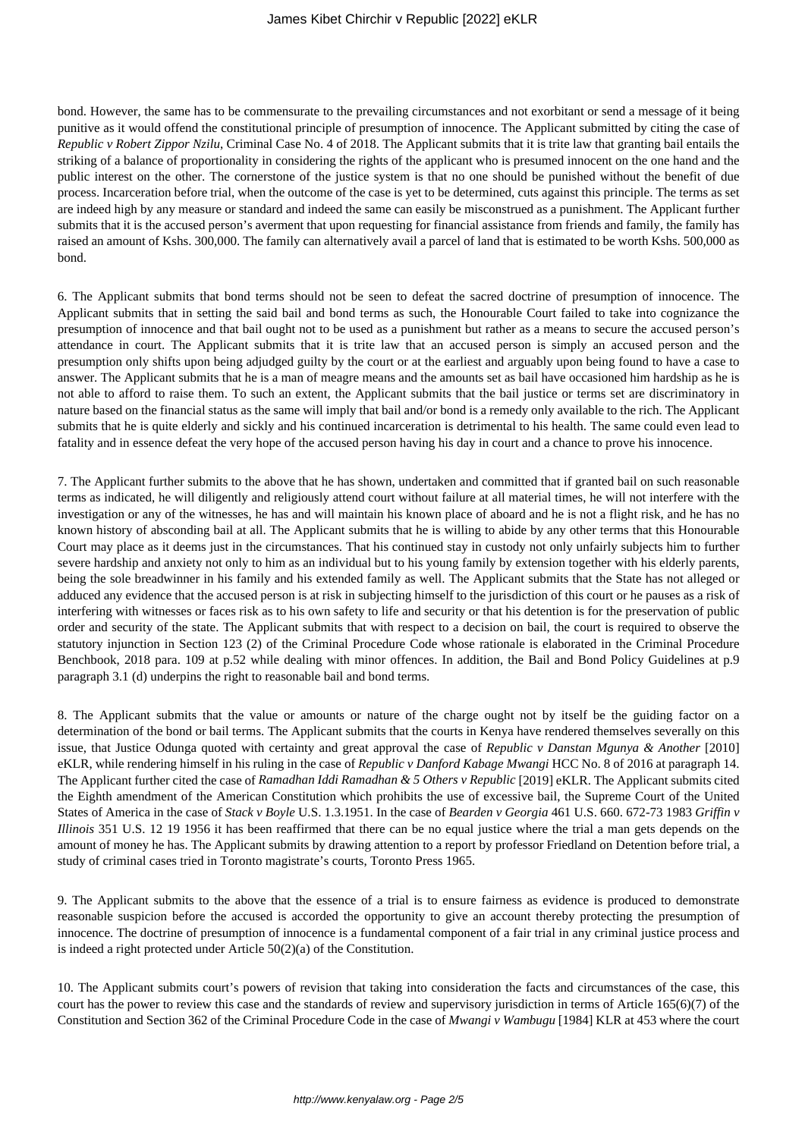bond. However, the same has to be commensurate to the prevailing circumstances and not exorbitant or send a message of it being punitive as it would offend the constitutional principle of presumption of innocence. The Applicant submitted by citing the case of *Republic v Robert Zippor Nzilu*, Criminal Case No. 4 of 2018. The Applicant submits that it is trite law that granting bail entails the striking of a balance of proportionality in considering the rights of the applicant who is presumed innocent on the one hand and the public interest on the other. The cornerstone of the justice system is that no one should be punished without the benefit of due process. Incarceration before trial, when the outcome of the case is yet to be determined, cuts against this principle. The terms as set are indeed high by any measure or standard and indeed the same can easily be misconstrued as a punishment. The Applicant further submits that it is the accused person's averment that upon requesting for financial assistance from friends and family, the family has raised an amount of Kshs. 300,000. The family can alternatively avail a parcel of land that is estimated to be worth Kshs. 500,000 as bond.

6. The Applicant submits that bond terms should not be seen to defeat the sacred doctrine of presumption of innocence. The Applicant submits that in setting the said bail and bond terms as such, the Honourable Court failed to take into cognizance the presumption of innocence and that bail ought not to be used as a punishment but rather as a means to secure the accused person's attendance in court. The Applicant submits that it is trite law that an accused person is simply an accused person and the presumption only shifts upon being adjudged guilty by the court or at the earliest and arguably upon being found to have a case to answer. The Applicant submits that he is a man of meagre means and the amounts set as bail have occasioned him hardship as he is not able to afford to raise them. To such an extent, the Applicant submits that the bail justice or terms set are discriminatory in nature based on the financial status as the same will imply that bail and/or bond is a remedy only available to the rich. The Applicant submits that he is quite elderly and sickly and his continued incarceration is detrimental to his health. The same could even lead to fatality and in essence defeat the very hope of the accused person having his day in court and a chance to prove his innocence.

7. The Applicant further submits to the above that he has shown, undertaken and committed that if granted bail on such reasonable terms as indicated, he will diligently and religiously attend court without failure at all material times, he will not interfere with the investigation or any of the witnesses, he has and will maintain his known place of aboard and he is not a flight risk, and he has no known history of absconding bail at all. The Applicant submits that he is willing to abide by any other terms that this Honourable Court may place as it deems just in the circumstances. That his continued stay in custody not only unfairly subjects him to further severe hardship and anxiety not only to him as an individual but to his young family by extension together with his elderly parents, being the sole breadwinner in his family and his extended family as well. The Applicant submits that the State has not alleged or adduced any evidence that the accused person is at risk in subjecting himself to the jurisdiction of this court or he pauses as a risk of interfering with witnesses or faces risk as to his own safety to life and security or that his detention is for the preservation of public order and security of the state. The Applicant submits that with respect to a decision on bail, the court is required to observe the statutory injunction in Section 123 (2) of the Criminal Procedure Code whose rationale is elaborated in the Criminal Procedure Benchbook, 2018 para. 109 at p.52 while dealing with minor offences. In addition, the Bail and Bond Policy Guidelines at p.9 paragraph 3.1 (d) underpins the right to reasonable bail and bond terms.

8. The Applicant submits that the value or amounts or nature of the charge ought not by itself be the guiding factor on a determination of the bond or bail terms. The Applicant submits that the courts in Kenya have rendered themselves severally on this issue, that Justice Odunga quoted with certainty and great approval the case of *Republic v Danstan Mgunya & Another* [2010] eKLR, while rendering himself in his ruling in the case of *Republic v Danford Kabage Mwangi* HCC No. 8 of 2016 at paragraph 14. The Applicant further cited the case of *Ramadhan Iddi Ramadhan & 5 Others v Republic* [2019] eKLR. The Applicant submits cited the Eighth amendment of the American Constitution which prohibits the use of excessive bail, the Supreme Court of the United States of America in the case of *Stack v Boyle* U.S. 1.3.1951. In the case of *Bearden v Georgia* 461 U.S. 660. 672-73 1983 *Griffin v Illinois* 351 U.S. 12 19 1956 it has been reaffirmed that there can be no equal justice where the trial a man gets depends on the amount of money he has. The Applicant submits by drawing attention to a report by professor Friedland on Detention before trial, a study of criminal cases tried in Toronto magistrate's courts, Toronto Press 1965.

9. The Applicant submits to the above that the essence of a trial is to ensure fairness as evidence is produced to demonstrate reasonable suspicion before the accused is accorded the opportunity to give an account thereby protecting the presumption of innocence. The doctrine of presumption of innocence is a fundamental component of a fair trial in any criminal justice process and is indeed a right protected under Article 50(2)(a) of the Constitution.

10. The Applicant submits court's powers of revision that taking into consideration the facts and circumstances of the case, this court has the power to review this case and the standards of review and supervisory jurisdiction in terms of Article 165(6)(7) of the Constitution and Section 362 of the Criminal Procedure Code in the case of *Mwangi v Wambugu* [1984] KLR at 453 where the court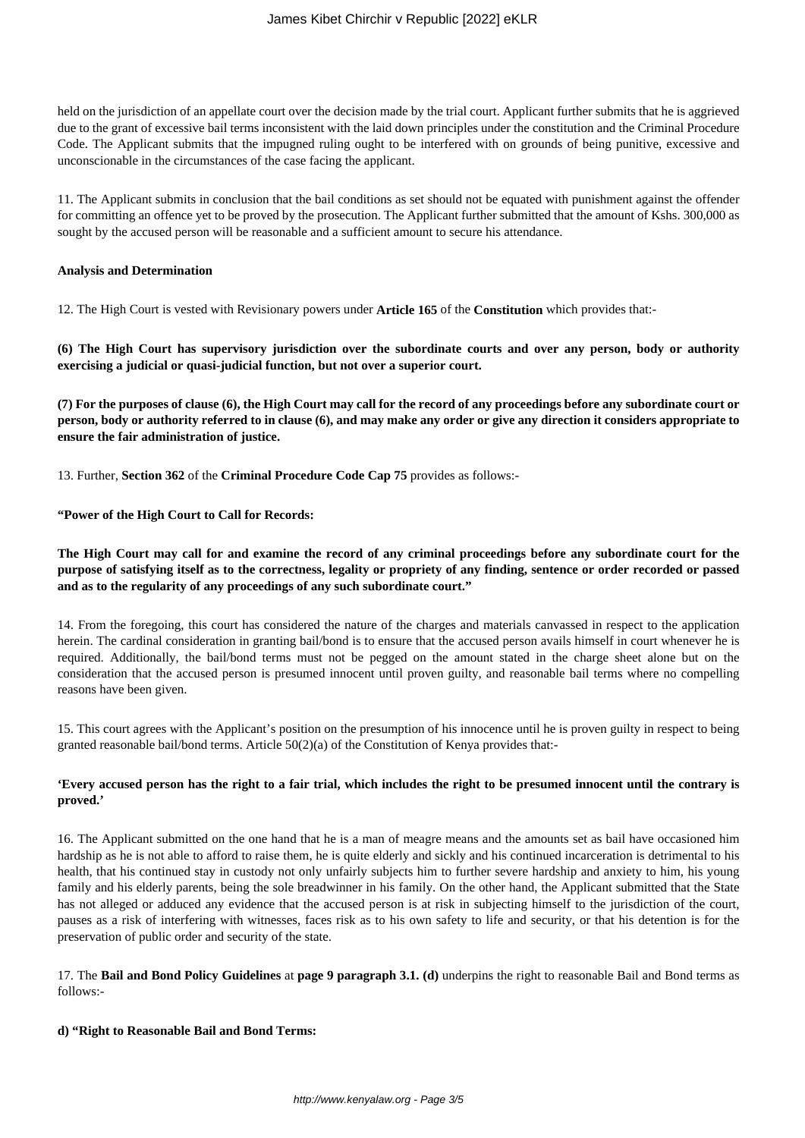held on the jurisdiction of an appellate court over the decision made by the trial court. Applicant further submits that he is aggrieved due to the grant of excessive bail terms inconsistent with the laid down principles under the constitution and the Criminal Procedure Code. The Applicant submits that the impugned ruling ought to be interfered with on grounds of being punitive, excessive and unconscionable in the circumstances of the case facing the applicant.

11. The Applicant submits in conclusion that the bail conditions as set should not be equated with punishment against the offender for committing an offence yet to be proved by the prosecution. The Applicant further submitted that the amount of Kshs. 300,000 as sought by the accused person will be reasonable and a sufficient amount to secure his attendance.

## **Analysis and Determination**

12. The High Court is vested with Revisionary powers under **Article 165** of the **Constitution** which provides that:-

**(6) The High Court has supervisory jurisdiction over the subordinate courts and over any person, body or authority exercising a judicial or quasi-judicial function, but not over a superior court.**

**(7) For the purposes of clause (6), the High Court may call for the record of any proceedings before any subordinate court or person, body or authority referred to in clause (6), and may make any order or give any direction it considers appropriate to ensure the fair administration of justice.**

13. Further, **Section 362** of the **Criminal Procedure Code Cap 75** provides as follows:-

**"Power of the High Court to Call for Records:**

## **The High Court may call for and examine the record of any criminal proceedings before any subordinate court for the purpose of satisfying itself as to the correctness, legality or propriety of any finding, sentence or order recorded or passed and as to the regularity of any proceedings of any such subordinate court."**

14. From the foregoing, this court has considered the nature of the charges and materials canvassed in respect to the application herein. The cardinal consideration in granting bail/bond is to ensure that the accused person avails himself in court whenever he is required. Additionally, the bail/bond terms must not be pegged on the amount stated in the charge sheet alone but on the consideration that the accused person is presumed innocent until proven guilty, and reasonable bail terms where no compelling reasons have been given.

15. This court agrees with the Applicant's position on the presumption of his innocence until he is proven guilty in respect to being granted reasonable bail/bond terms. Article 50(2)(a) of the Constitution of Kenya provides that:-

## **'Every accused person has the right to a fair trial, which includes the right to be presumed innocent until the contrary is proved.'**

16. The Applicant submitted on the one hand that he is a man of meagre means and the amounts set as bail have occasioned him hardship as he is not able to afford to raise them, he is quite elderly and sickly and his continued incarceration is detrimental to his health, that his continued stay in custody not only unfairly subjects him to further severe hardship and anxiety to him, his young family and his elderly parents, being the sole breadwinner in his family. On the other hand, the Applicant submitted that the State has not alleged or adduced any evidence that the accused person is at risk in subjecting himself to the jurisdiction of the court, pauses as a risk of interfering with witnesses, faces risk as to his own safety to life and security, or that his detention is for the preservation of public order and security of the state.

17. The **Bail and Bond Policy Guidelines** at **page 9 paragraph 3.1. (d)** underpins the right to reasonable Bail and Bond terms as follows:-

#### **d) "Right to Reasonable Bail and Bond Terms:**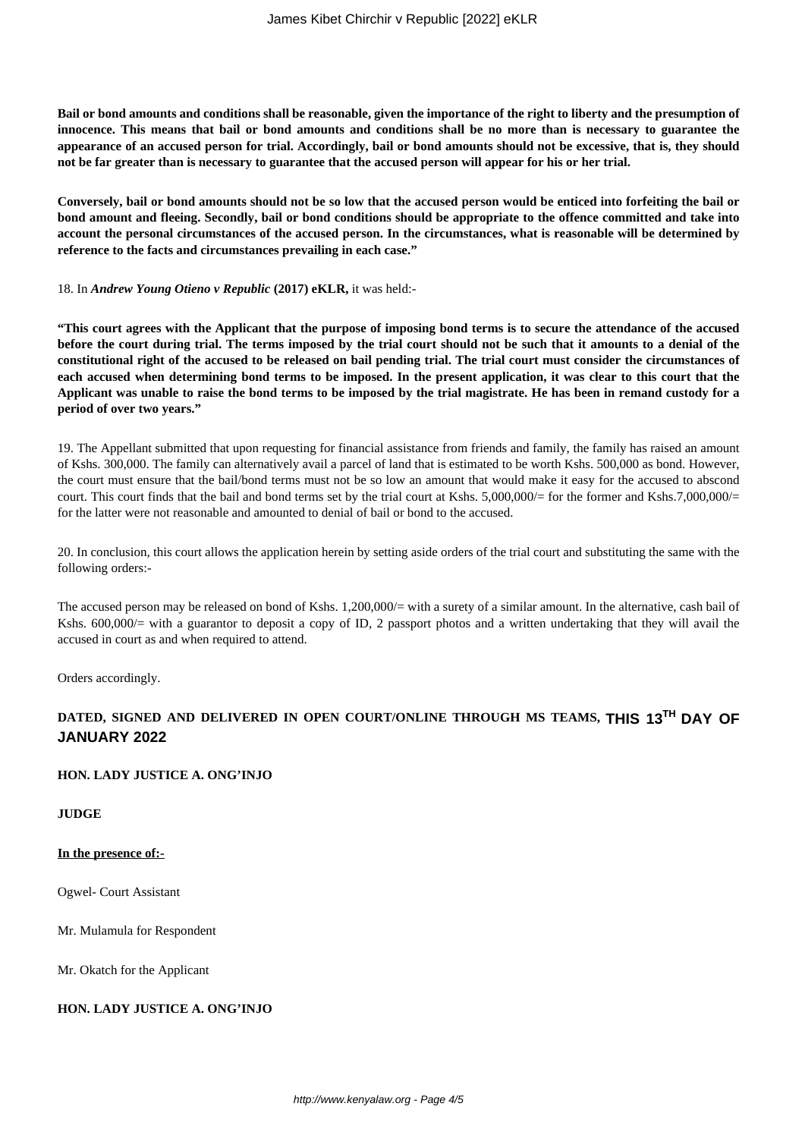**Bail or bond amounts and conditions shall be reasonable, given the importance of the right to liberty and the presumption of innocence. This means that bail or bond amounts and conditions shall be no more than is necessary to guarantee the appearance of an accused person for trial. Accordingly, bail or bond amounts should not be excessive, that is, they should not be far greater than is necessary to guarantee that the accused person will appear for his or her trial.**

**Conversely, bail or bond amounts should not be so low that the accused person would be enticed into forfeiting the bail or bond amount and fleeing. Secondly, bail or bond conditions should be appropriate to the offence committed and take into account the personal circumstances of the accused person. In the circumstances, what is reasonable will be determined by reference to the facts and circumstances prevailing in each case."**

#### 18. In *Andrew Young Otieno v Republic* **(2017) eKLR,** it was held:-

**"This court agrees with the Applicant that the purpose of imposing bond terms is to secure the attendance of the accused before the court during trial. The terms imposed by the trial court should not be such that it amounts to a denial of the constitutional right of the accused to be released on bail pending trial. The trial court must consider the circumstances of each accused when determining bond terms to be imposed. In the present application, it was clear to this court that the Applicant was unable to raise the bond terms to be imposed by the trial magistrate. He has been in remand custody for a period of over two years."**

19. The Appellant submitted that upon requesting for financial assistance from friends and family, the family has raised an amount of Kshs. 300,000. The family can alternatively avail a parcel of land that is estimated to be worth Kshs. 500,000 as bond. However, the court must ensure that the bail/bond terms must not be so low an amount that would make it easy for the accused to abscond court. This court finds that the bail and bond terms set by the trial court at Kshs. 5,000,000/= for the former and Kshs.7,000,000/= for the latter were not reasonable and amounted to denial of bail or bond to the accused.

20. In conclusion, this court allows the application herein by setting aside orders of the trial court and substituting the same with the following orders:-

The accused person may be released on bond of Kshs. 1,200,000/= with a surety of a similar amount. In the alternative, cash bail of Kshs. 600,000/= with a guarantor to deposit a copy of ID, 2 passport photos and a written undertaking that they will avail the accused in court as and when required to attend.

Orders accordingly.

# **DATED, SIGNED AND DELIVERED IN OPEN COURT/ONLINE THROUGH MS TEAMS, THIS 13TH DAY OF JANUARY 2022**

## **HON. LADY JUSTICE A. ONG'INJO**

**JUDGE**

## **In the presence of:-**

Ogwel- Court Assistant

Mr. Mulamula for Respondent

Mr. Okatch for the Applicant

## **HON. LADY JUSTICE A. ONG'INJO**